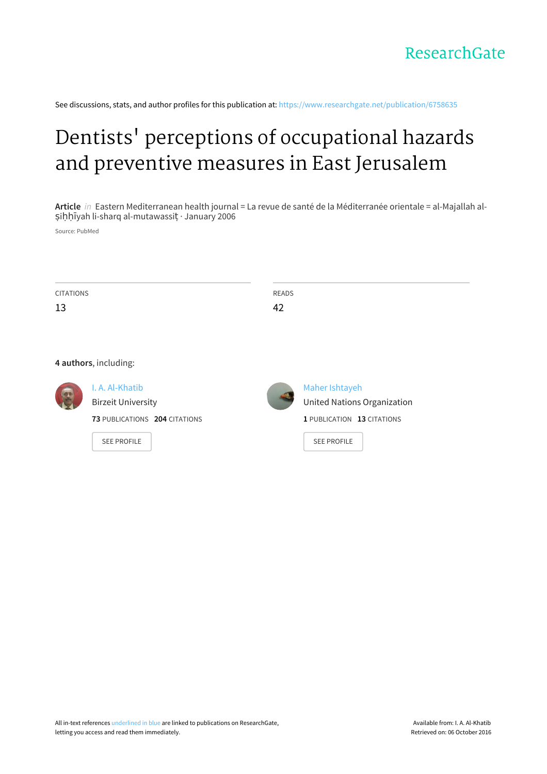See discussions, stats, and author profiles for this publication at: [https://www.researchgate.net/publication/6758635](https://www.researchgate.net/publication/6758635_Dentists%27_perceptions_of_occupational_hazards_and_preventive_measures_in_East_Jerusalem?enrichId=rgreq-49cd369af180218b3dfa5451f50aeebf-XXX&enrichSource=Y292ZXJQYWdlOzY3NTg2MzU7QVM6MTAzNDU4MDc4MTk5ODI3QDE0MDE2Nzc3MzcwMzU%3D&el=1_x_2)

# Dentists' perceptions of [occupational](https://www.researchgate.net/publication/6758635_Dentists%27_perceptions_of_occupational_hazards_and_preventive_measures_in_East_Jerusalem?enrichId=rgreq-49cd369af180218b3dfa5451f50aeebf-XXX&enrichSource=Y292ZXJQYWdlOzY3NTg2MzU7QVM6MTAzNDU4MDc4MTk5ODI3QDE0MDE2Nzc3MzcwMzU%3D&el=1_x_3) hazards and preventive measures in East Jerusalem

**Article** in Eastern Mediterranean health journal = La revue de santé de la Méditerranée orientale = al-Majallah alṣiḥḥīyah li-sharq al-mutawassiṭ · January 2006

Source: PubMed

| <b>CITATIONS</b> |                               | <b>READS</b> |                                    |
|------------------|-------------------------------|--------------|------------------------------------|
| 13               |                               | 42           |                                    |
|                  |                               |              |                                    |
|                  |                               |              |                                    |
|                  | 4 authors, including:         |              |                                    |
|                  | I. A. Al-Khatib               |              | Maher Ishtayeh                     |
|                  | <b>Birzeit University</b>     |              | <b>United Nations Organization</b> |
|                  | 73 PUBLICATIONS 204 CITATIONS |              | 1 PUBLICATION 13 CITATIONS         |
|                  | <b>SEE PROFILE</b>            |              | <b>SEE PROFILE</b>                 |
|                  |                               |              |                                    |
|                  |                               |              |                                    |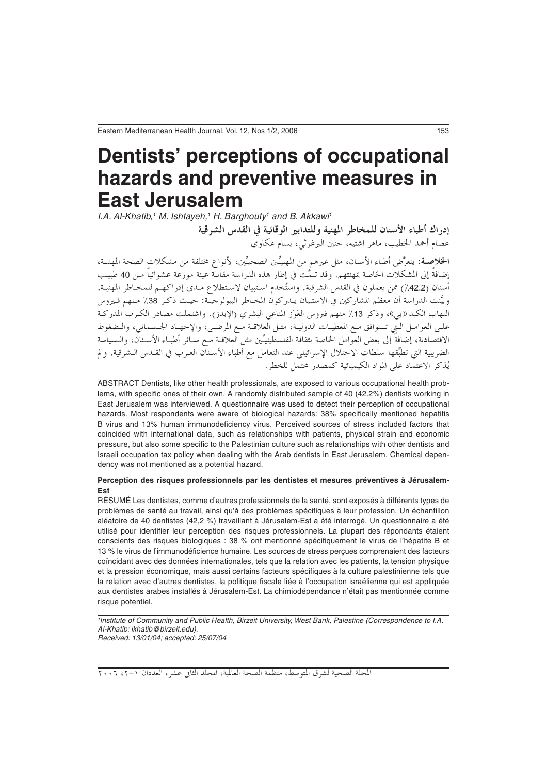## **Dentists' perceptions of occupational hazards and preventive measures in East Jerusalem**

I.A. Al-Khatib,<sup>1</sup> M. Ishtayeh,<sup>1</sup> H. Barghouty<sup>1</sup> and B. Akkawi<sup>1</sup>

أدراك أطباء الأسنان للمخاط المهنية وللتدابع الوقائية في القدس الشرقية عصام أحمد الخطيب، ماهر اشتيه، حنين البرغوثي، بسام عكاوي

**الخلاصـة**: يتعرَّض أطباء الأسنان، مثل غيرهم من المهنيِّين الصحيِّين، لأنواع مختلفة من مشكلات الصحة المهنيـة، إضافةً إلى المشكلات الخاصة بمهنتهم. وقد تـمُّت في إطار هذه الدراسة مقابلة عينة موزعة عشوائياً مـن 40 طبيب أسنان (42.2٪) ممن يعملون في القدس الشرقية. واستُخدم استبيان لاستطلاع مـدي إدراكهـم للمخـاطر المهنيـة. وبيَّنت الدراسة أن معظم المشاركين في الاستبيان يـدركون المخـاطر البيولوجيـّة: حيـث ذكـر 38٪ مـنهم فـيروس التهاب الكبد «بي»، وذكر 13٪ منهم فيروس العَوَز المناعي البشري (الإيدز). واشتملت مصادر الكـرب المدركـة على العوامـل الـتي تـتوافق مـع المعطيـات الدوليـة، مثـل العلاقـة مـع المرضـي، والإجهـاد الجـسماني، والـضغوط الضريبية التي تطبِّقها سلطات الاحتلال الإسرائيلي عند التعامل مع أطباء الأسـنـان العـرب في القــدس الــشرقية. ولم يُذكر الاعتماد على المواد الكيميائية كمصدر محتمل للخطر .

ABSTRACT Dentists, like other health professionals, are exposed to various occupational health problems, with specific ones of their own. A randomly distributed sample of 40 (42.2%) dentists working in East Jerusalem was interviewed. A questionnaire was used to detect their perception of occupational hazards. Most respondents were aware of biological hazards: 38% specifically mentioned hepatitis B virus and 13% human immunodeficiency virus. Perceived sources of stress included factors that coincided with international data, such as relationships with patients, physical strain and economic pressure, but also some specific to the Palestinian culture such as relationships with other dentists and Israeli occupation tax policy when dealing with the Arab dentists in East Jerusalem. Chemical dependency was not mentioned as a potential hazard.

### **Perception des risques professionnels par les dentistes et mesures préventives à Jérusalem-Est**

RÉSUMÉ Les dentistes, comme d'autres professionnels de la santé, sont exposés à différents types de problèmes de santé au travail, ainsi qu'à des problèmes spécifiques à leur profession. Un échantillon aléatoire de 40 dentistes (42,2 %) travaillant à Jérusalem-Est a été interrogé. Un questionnaire a été utilisé pour identifier leur perception des risques professionnels. La plupart des répondants étaient conscients des risques biologiques : 38 % ont mentionné spécifiquement le virus de l'hépatite B et 13 % le virus de l'immunodéficience humaine. Les sources de stress perçues comprenaient des facteurs coïncidant avec des données internationales, tels que la relation avec les patients, la tension physique et la pression économique, mais aussi certains facteurs spécifiques à la culture palestinienne tels que la relation avec d'autres dentistes, la politique fiscale liée à l'occupation israélienne qui est appliquée aux dentistes arabes installés à Jérusalem-Est. La chimiodépendance n'était pas mentionnée comme risque potentiel.

<sup>1</sup>Institute of Community and Public Health, Birzeit University, West Bank, Palestine (Correspondence to I.A. Al-Khatib: ikhatib@birzeit.edu). Received: 13/01/04; accepted: 25/07/04

المجلة الصحية لشرق المتوسط، منظمة الصحة العالمية، المجلد الثاني عشر، العددان ١-٢، ٢٠٠٦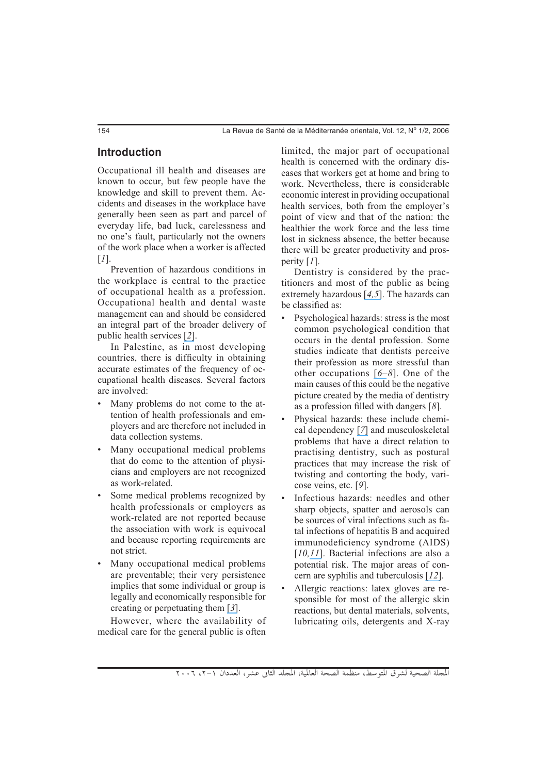## **Introduction**

Occupational ill health and diseases are known to occur, but few people have the knowledge and skill to prevent them. Accidents and diseases in the workplace have generally been seen as part and parcel of everyday life, bad luck, carelessness and no one's fault, particularly not the owners of the work place when a worker is affected [*1*].

Prevention of hazardous conditions in the workplace is central to the practice of occupational health as a profession. Occupational health and dental waste management can and should be considered an integral part of the broader delivery of public health services [*[2](https://www.researchgate.net/publication/12010685_Cross-infection_control_in_dental_practice_in_the_Republic_of_Ireland?el=1_x_8&enrichId=rgreq-49cd369af180218b3dfa5451f50aeebf-XXX&enrichSource=Y292ZXJQYWdlOzY3NTg2MzU7QVM6MTAzNDU4MDc4MTk5ODI3QDE0MDE2Nzc3MzcwMzU=)*].

In Palestine, as  $\overline{in}$  most developing countries, there is difficulty in obtaining accurate estimates of the frequency of occupational health diseases. Several factors are involved:

- Many problems do not come to the attention of health professionals and employers and are therefore not included in data collection systems.
- Many occupational medical problems that do come to the attention of physicians and employers are not recognized as work-related.
- Some medical problems recognized by health professionals or employers as work-related are not reported because the association with work is equivocal and because reporting requirements are not strict.
- Many occupational medical problems are preventable; their very persistence implies that some individual or group is legally and economically responsible for creating or perpetuating them [*[3](https://www.researchgate.net/publication/8505194_Assessment_of_waste_amalgam_management_in_dental_clinics_in_Ramallah_and_al-Bireh_cities_in_Palestine?el=1_x_8&enrichId=rgreq-49cd369af180218b3dfa5451f50aeebf-XXX&enrichSource=Y292ZXJQYWdlOzY3NTg2MzU7QVM6MTAzNDU4MDc4MTk5ODI3QDE0MDE2Nzc3MzcwMzU=)*].

However, where the availability of medical care for the general public is often

limited, the major part of occupational health is concerned with the ordinary diseases that workers get at home and bring to work. Nevertheless, there is considerable economic interest in providing occupational health services, both from the employer's point of view and that of the nation: the healthier the work force and the less time lost in sickness absence, the better because there will be greater productivity and prosperity [*1*].

Dentistry is considered by the practitioners and most of the public as being extremely hazardous [*[4,](https://www.researchgate.net/publication/16194556_Occupational_hazards_Is_dentistry_hazardous_to_your_health?el=1_x_8&enrichId=rgreq-49cd369af180218b3dfa5451f50aeebf-XXX&enrichSource=Y292ZXJQYWdlOzY3NTg2MzU7QVM6MTAzNDU4MDc4MTk5ODI3QDE0MDE2Nzc3MzcwMzU=)[5](https://www.researchgate.net/publication/19550256_Estimates_of_the_probability_of_job-related_death_in_347_occupations?el=1_x_8&enrichId=rgreq-49cd369af180218b3dfa5451f50aeebf-XXX&enrichSource=Y292ZXJQYWdlOzY3NTg2MzU7QVM6MTAzNDU4MDc4MTk5ODI3QDE0MDE2Nzc3MzcwMzU=)*]. The hazards can be classified as:

- Psychological hazards: stress is the most common psychological condition that occurs in the dental profession. Some studies indicate that dentists perceive their profession as more stressful than other occupations [*[6](https://www.researchgate.net/publication/298293712_Stress-related_suicide_by_dentists_and_other_health_care_workers_-_Fact_or_folklore?el=1_x_8&enrichId=rgreq-49cd369af180218b3dfa5451f50aeebf-XXX&enrichSource=Y292ZXJQYWdlOzY3NTg2MzU7QVM6MTAzNDU4MDc4MTk5ODI3QDE0MDE2Nzc3MzcwMzU=)[–](https://www.researchgate.net/publication/8982565_The_role_of_occupational_stress_in_the_maladaptive_use_of_alcohol_by_dentists_A_study_of_South_Australian_general_dental_practitioners?el=1_x_8&enrichId=rgreq-49cd369af180218b3dfa5451f50aeebf-XXX&enrichSource=Y292ZXJQYWdlOzY3NTg2MzU7QVM6MTAzNDU4MDc4MTk5ODI3QDE0MDE2Nzc3MzcwMzU=)8*]. One of the main causes of this could be the negative picture created by the media of dentistry as a profession filled with dangers [*8*].
- Physical hazards: these include chemical dependency [*[7](https://www.researchgate.net/publication/8982565_The_role_of_occupational_stress_in_the_maladaptive_use_of_alcohol_by_dentists_A_study_of_South_Australian_general_dental_practitioners?el=1_x_8&enrichId=rgreq-49cd369af180218b3dfa5451f50aeebf-XXX&enrichSource=Y292ZXJQYWdlOzY3NTg2MzU7QVM6MTAzNDU4MDc4MTk5ODI3QDE0MDE2Nzc3MzcwMzU=)*] and musculoskeletal problems that have a direct relation to practising dentistry, such as postural practices that may increase the risk of twisting and contorting the body, varicose veins, etc. [*9*].
- Infectious hazards: needles and other sharp objects, spatter and aerosols can be sources of viral infections such as fatal infections of hepatitis B and acquired immunodeficiency syndrome (AIDS) [10,[11](https://www.researchgate.net/publication/8585212_Herpes_simplex_virus_An_occupational_hazard_in_dentistry?el=1_x_8&enrichId=rgreq-49cd369af180218b3dfa5451f50aeebf-XXX&enrichSource=Y292ZXJQYWdlOzY3NTg2MzU7QVM6MTAzNDU4MDc4MTk5ODI3QDE0MDE2Nzc3MzcwMzU=)]. Bacterial infections are also a potential risk. The major areas of concern are syphilis and tuberculosis [*[12](https://www.researchgate.net/publication/11046615_Re-emergence_of_tuberculosis_and_its_variants_Implications_for_dentistry?el=1_x_8&enrichId=rgreq-49cd369af180218b3dfa5451f50aeebf-XXX&enrichSource=Y292ZXJQYWdlOzY3NTg2MzU7QVM6MTAzNDU4MDc4MTk5ODI3QDE0MDE2Nzc3MzcwMzU=)*].
- Allergic reactions: latex gloves are responsible for most of the allergic skin reactions, but dental materials, solvents, lubricating oils, detergents and X-ray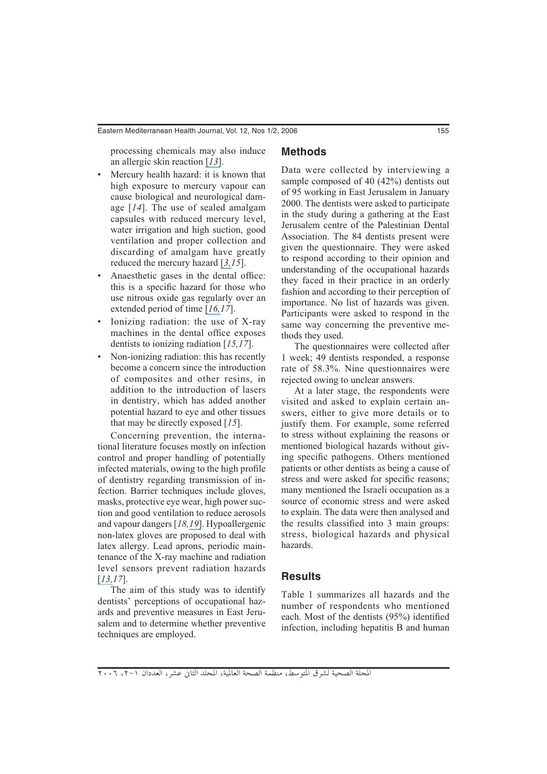processing chemicals may also induce an allergic skin reaction [*[13](https://www.researchgate.net/publication/12504587_Allergic_contact_dermatitis_in_dentistry?el=1_x_8&enrichId=rgreq-49cd369af180218b3dfa5451f50aeebf-XXX&enrichSource=Y292ZXJQYWdlOzY3NTg2MzU7QVM6MTAzNDU4MDc4MTk5ODI3QDE0MDE2Nzc3MzcwMzU=)*].

## **Methods**

- Mercury health hazard: it is known that high exposure to mercury vapour can cause biological and neurological damage [*14*]. The use of sealed amalgam capsules with reduced mercury level, water irrigation and high suction, good ventilation and proper collection and discarding of amalgam have greatly reduced the mercury hazard [*[3,1](https://www.researchgate.net/publication/8505194_Assessment_of_waste_amalgam_management_in_dental_clinics_in_Ramallah_and_al-Bireh_cities_in_Palestine?el=1_x_8&enrichId=rgreq-49cd369af180218b3dfa5451f50aeebf-XXX&enrichSource=Y292ZXJQYWdlOzY3NTg2MzU7QVM6MTAzNDU4MDc4MTk5ODI3QDE0MDE2Nzc3MzcwMzU=)5*].
- Anaesthetic gases in the dental office: this is a specific hazard for those who use nitrous oxide gas regularly over an extended period of time [*[16,1](https://www.researchgate.net/publication/12425036_Environmental_monitoring_of_nitrous_oxide_during_dental_anaesthesia?el=1_x_8&enrichId=rgreq-49cd369af180218b3dfa5451f50aeebf-XXX&enrichSource=Y292ZXJQYWdlOzY3NTg2MzU7QVM6MTAzNDU4MDc4MTk5ODI3QDE0MDE2Nzc3MzcwMzU=)7*].
- Ionizing radiation: the use of X-ray machines in the dental office exposes dentists to ionizing radiation [*15,17*].
- Non-ionizing radiation: this has recently become a concern since the introduction of composites and other resins, in addition to the introduction of lasers in dentistry, which has added another potential hazard to eye and other tissues that may be directly exposed [*15*].

Concerning prevention, the international literature focuses mostly on infection control and proper handling of potentially infected materials, owing to the high profile of dentistry regarding transmission of infection. Barrier techniques include gloves, masks, protective eye wear, high power suction and good ventilation to reduce aerosols and vapour dangers [*18,[19](https://www.researchgate.net/publication/292913337_Occupational_hazards_among_dental_surgeons?el=1_x_8&enrichId=rgreq-49cd369af180218b3dfa5451f50aeebf-XXX&enrichSource=Y292ZXJQYWdlOzY3NTg2MzU7QVM6MTAzNDU4MDc4MTk5ODI3QDE0MDE2Nzc3MzcwMzU=)*]. Hypoallergenic non-latex gloves are proposed to deal with latex allergy. Lead aprons, periodic maintenance of the X-ray machine and radiation level sensors prevent radiation hazards [*[13,1](https://www.researchgate.net/publication/12504587_Allergic_contact_dermatitis_in_dentistry?el=1_x_8&enrichId=rgreq-49cd369af180218b3dfa5451f50aeebf-XXX&enrichSource=Y292ZXJQYWdlOzY3NTg2MzU7QVM6MTAzNDU4MDc4MTk5ODI3QDE0MDE2Nzc3MzcwMzU=)7*].

The aim of this study was to identify dentists' perceptions of occupational hazards and preventive measures in East Jerusalem and to determine whether preventive techniques are employed.

Data were collected by interviewing a sample composed of 40 (42%) dentists out of 95 working in East Jerusalem in January 2000. The dentists were asked to participate in the study during a gathering at the East Jerusalem centre of the Palestinian Dental Association. The 84 dentists present were given the questionnaire. They were asked to respond according to their opinion and understanding of the occupational hazards they faced in their practice in an orderly fashion and according to their perception of importance. No list of hazards was given. Participants were asked to respond in the same way concerning the preventive methods they used.

The questionnaires were collected after 1 week; 49 dentists responded, a response rate of 58.3%. Nine questionnaires were rejected owing to unclear answers.

At a later stage, the respondents were visited and asked to explain certain answers, either to give more details or to justify them. For example, some referred to stress without explaining the reasons or mentioned biological hazards without giving specific pathogens. Others mentioned patients or other dentists as being a cause of stress and were asked for specific reasons; many mentioned the Israeli occupation as a source of economic stress and were asked to explain. The data were then analysed and the results classified into 3 main groups: stress, biological hazards and physical hazards.

## **Results**

Table 1 summarizes all hazards and the number of respondents who mentioned each. Most of the dentists (95%) identified infection, including hepatitis B and human

المجلة الصحية لشرق المتوسط، منظمة الصحة العالمية، المجلد الثاني عشر، العددان ١-٢، ٢٠٠٦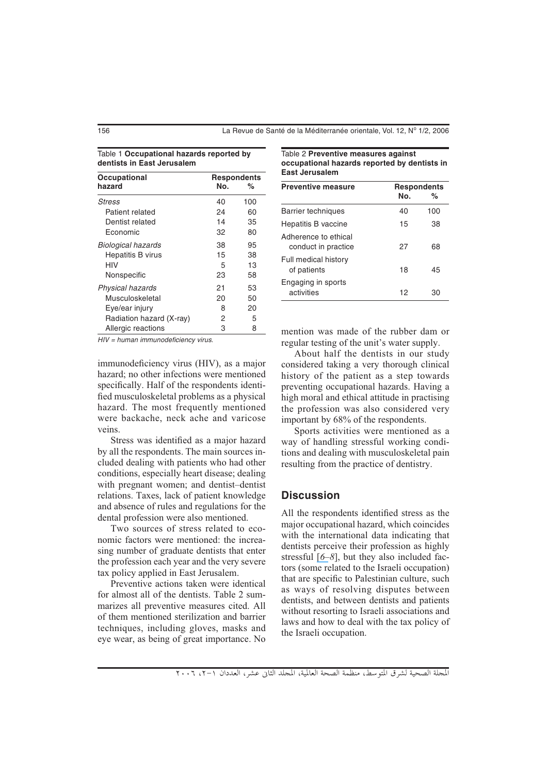#### Table 1 **Occupational hazards reported by dentists in East Jerusalem**

| Occupational             | <b>Respondents</b> |     |
|--------------------------|--------------------|-----|
| hazard                   | No.                | %   |
| Stress                   | 40                 | 100 |
| Patient related          | 24                 | 60  |
| Dentist related          | 14                 | 35  |
| Fconomic                 | 32                 | 80  |
| Biological hazards       | 38                 | 95  |
| <b>Hepatitis B virus</b> | 15                 | 38  |
| HIV                      | 5                  | 13  |
| Nonspecific              | 23                 | 58  |
| Physical hazards         | 21                 | 53  |
| Musculoskeletal          | 20                 | 50  |
| Eye/ear injury           | 8                  | 20  |
| Radiation hazard (X-ray) | 2                  | 5   |
| Allergic reactions       | З                  | 8   |

Table 2 **Preventive measures against occupational hazards reported by dentists in East Jerusalem**

| <b>Preventive measure</b>                   | <b>Respondents</b><br>Nο. | %   |
|---------------------------------------------|---------------------------|-----|
| Barrier techniques                          | 40                        | 100 |
| Hepatitis B vaccine                         | 15                        | 38  |
| Adherence to ethical<br>conduct in practice | 27                        | 68  |
| Full medical history<br>of patients         | 18                        | 45  |
| Engaging in sports<br>activities            | 12                        | 30  |

HIV = human immunodeficiency virus.

immunodeficiency virus (HIV), as a major hazard; no other infections were mentioned specifically. Half of the respondents identified musculoskeletal problems as a physical hazard. The most frequently mentioned were backache, neck ache and varicose veins.

Stress was identified as a major hazard by all the respondents. The main sources included dealing with patients who had other conditions, especially heart disease; dealing with pregnant women; and dentist–dentist relations. Taxes, lack of patient knowledge and absence of rules and regulations for the dental profession were also mentioned.

Two sources of stress related to economic factors were mentioned: the increasing number of graduate dentists that enter the profession each year and the very severe tax policy applied in East Jerusalem.

Preventive actions taken were identical for almost all of the dentists. Table 2 summarizes all preventive measures cited. All of them mentioned sterilization and barrier techniques, including gloves, masks and eye wear, as being of great importance. No mention was made of the rubber dam or regular testing of the unit's water supply.

About half the dentists in our study considered taking a very thorough clinical history of the patient as a step towards preventing occupational hazards. Having a high moral and ethical attitude in practising the profession was also considered very important by 68% of the respondents.

Sports activities were mentioned as a way of handling stressful working conditions and dealing with musculoskeletal pain resulting from the practice of dentistry.

## **Discussion**

All the respondents identified stress as the major occupational hazard, which coincides with the international data indicating that dentists perceive their profession as highly stressful [*[6](https://www.researchgate.net/publication/298293712_Stress-related_suicide_by_dentists_and_other_health_care_workers_-_Fact_or_folklore?el=1_x_8&enrichId=rgreq-49cd369af180218b3dfa5451f50aeebf-XXX&enrichSource=Y292ZXJQYWdlOzY3NTg2MzU7QVM6MTAzNDU4MDc4MTk5ODI3QDE0MDE2Nzc3MzcwMzU=)[–](https://www.researchgate.net/publication/8982565_The_role_of_occupational_stress_in_the_maladaptive_use_of_alcohol_by_dentists_A_study_of_South_Australian_general_dental_practitioners?el=1_x_8&enrichId=rgreq-49cd369af180218b3dfa5451f50aeebf-XXX&enrichSource=Y292ZXJQYWdlOzY3NTg2MzU7QVM6MTAzNDU4MDc4MTk5ODI3QDE0MDE2Nzc3MzcwMzU=)8*], but they also included factors (some related to the Israeli occupation) that are specific to Palestinian culture, such as ways of resolving disputes between dentists, and between dentists and patients without resorting to Israeli associations and laws and how to deal with the tax policy of the Israeli occupation.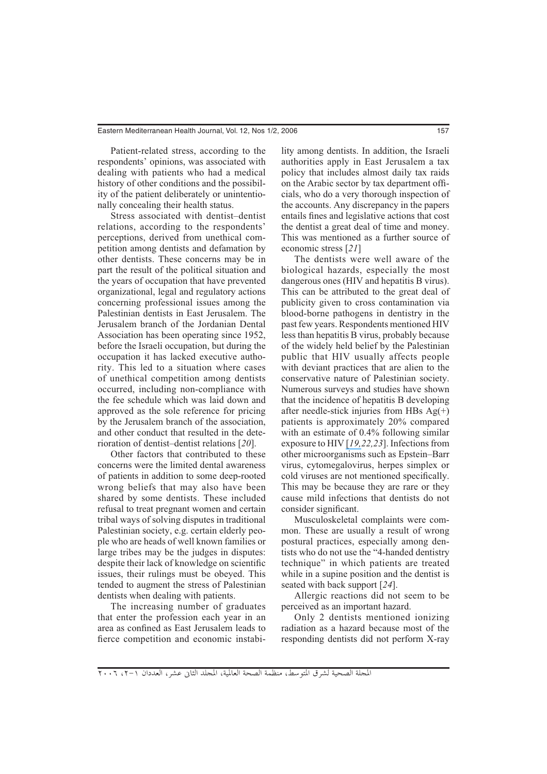Patient-related stress, according to the respondents' opinions, was associated with dealing with patients who had a medical history of other conditions and the possibility of the patient deliberately or unintentionally concealing their health status.

Stress associated with dentist–dentist relations, according to the respondents' perceptions, derived from unethical competition among dentists and defamation by other dentists. These concerns may be in part the result of the political situation and the years of occupation that have prevented organizational, legal and regulatory actions concerning professional issues among the Palestinian dentists in East Jerusalem. The Jerusalem branch of the Jordanian Dental Association has been operating since 1952, before the Israeli occupation, but during the occupation it has lacked executive authority. This led to a situation where cases of unethical competition among dentists occurred, including non-compliance with the fee schedule which was laid down and approved as the sole reference for pricing by the Jerusalem branch of the association, and other conduct that resulted in the deterioration of dentist–dentist relations [*20*].

Other factors that contributed to these concerns were the limited dental awareness of patients in addition to some deep-rooted wrong beliefs that may also have been shared by some dentists. These included refusal to treat pregnant women and certain tribal ways of solving disputes in traditional Palestinian society, e.g. certain elderly people who are heads of well known families or large tribes may be the judges in disputes: despite their lack of knowledge on scientific issues, their rulings must be obeyed. This tended to augment the stress of Palestinian dentists when dealing with patients.

The increasing number of graduates that enter the profession each year in an area as confined as East Jerusalem leads to fierce competition and economic instability among dentists. In addition, the Israeli authorities apply in East Jerusalem a tax policy that includes almost daily tax raids on the Arabic sector by tax department officials, who do a very thorough inspection of the accounts. Any discrepancy in the papers entails fines and legislative actions that cost the dentist a great deal of time and money. This was mentioned as a further source of economic stress [*21*]

The dentists were well aware of the biological hazards, especially the most dangerous ones (HIV and hepatitis B virus). This can be attributed to the great deal of publicity given to cross contamination via blood-borne pathogens in dentistry in the past few years. Respondents mentioned HIV less than hepatitis B virus, probably because of the widely held belief by the Palestinian public that HIV usually affects people with deviant practices that are alien to the conservative nature of Palestinian society. Numerous surveys and studies have shown that the incidence of hepatitis B developing after needle-stick injuries from HBs Ag(+) patients is approximately 20% compared with an estimate of 0.4% following similar exposure to HIV [*[19,2](https://www.researchgate.net/publication/292913337_Occupational_hazards_among_dental_surgeons?el=1_x_8&enrichId=rgreq-49cd369af180218b3dfa5451f50aeebf-XXX&enrichSource=Y292ZXJQYWdlOzY3NTg2MzU7QVM6MTAzNDU4MDc4MTk5ODI3QDE0MDE2Nzc3MzcwMzU=)2,23*]. Infections from other microorganisms such as Epstein–Barr virus, cytomegalovirus, herpes simplex or cold viruses are not mentioned specifically. This may be because they are rare or they cause mild infections that dentists do not consider significant.

Musculoskeletal complaints were common. These are usually a result of wrong postural practices, especially among dentists who do not use the "4-handed dentistry technique" in which patients are treated while in a supine position and the dentist is seated with back support [*24*].

Allergic reactions did not seem to be perceived as an important hazard.

Only 2 dentists mentioned ionizing radiation as a hazard because most of the responding dentists did not perform X-ray

المجلة الصحية لشرق المتوسط، منظمة الصحة العالمية، المجلد الثاني عشر، العددان ١-٢، ٢٠٠٦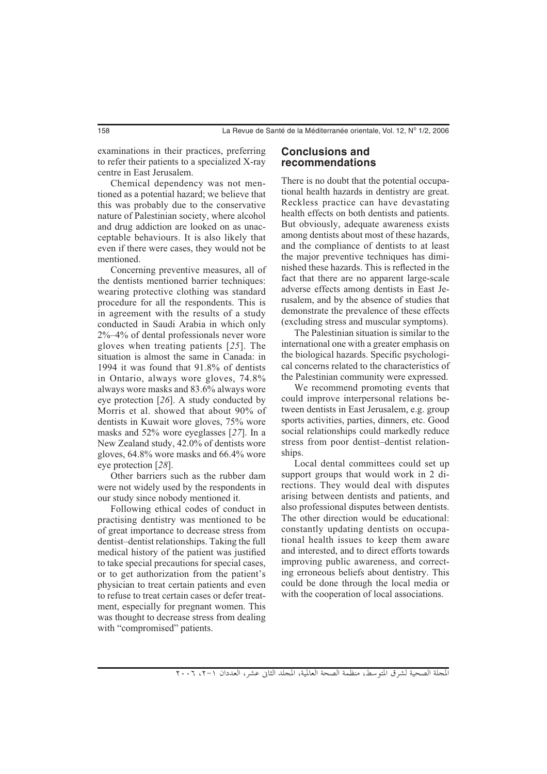examinations in their practices, preferring to refer their patients to a specialized X-ray centre in East Jerusalem.

Chemical dependency was not mentioned as a potential hazard; we believe that this was probably due to the conservative nature of Palestinian society, where alcohol and drug addiction are looked on as unacceptable behaviours. It is also likely that even if there were cases, they would not be mentioned.

Concerning preventive measures, all of the dentists mentioned barrier techniques: wearing protective clothing was standard procedure for all the respondents. This is in agreement with the results of a study conducted in Saudi Arabia in which only 2%–4% of dental professionals never wore gloves when treating patients [*25*]. The situation is almost the same in Canada: in 1994 it was found that 91.8% of dentists in Ontario, always wore gloves, 74.8% always wore masks and 83.6% always wore eye protection [*26*]. A study conducted by Morris et al. showed that about 90% of dentists in Kuwait wore gloves, 75% wore masks and 52% wore eyeglasses [*27*]. In a New Zealand study, 42.0% of dentists wore gloves, 64.8% wore masks and 66.4% wore eye protection [*28*].

Other barriers such as the rubber dam were not widely used by the respondents in our study since nobody mentioned it.

Following ethical codes of conduct in practising dentistry was mentioned to be of great importance to decrease stress from dentist–dentist relationships. Taking the full medical history of the patient was justified to take special precautions for special cases, or to get authorization from the patient's physician to treat certain patients and even to refuse to treat certain cases or defer treatment, especially for pregnant women. This was thought to decrease stress from dealing with "compromised" patients.

## **Conclusions and recommendations**

There is no doubt that the potential occupational health hazards in dentistry are great. Reckless practice can have devastating health effects on both dentists and patients. But obviously, adequate awareness exists among dentists about most of these hazards, and the compliance of dentists to at least the major preventive techniques has diminished these hazards. This is reflected in the fact that there are no apparent large-scale adverse effects among dentists in East Jerusalem, and by the absence of studies that demonstrate the prevalence of these effects (excluding stress and muscular symptoms).

The Palestinian situation is similar to the international one with a greater emphasis on the biological hazards. Specific psychological concerns related to the characteristics of the Palestinian community were expressed.

We recommend promoting events that could improve interpersonal relations between dentists in East Jerusalem, e.g. group sports activities, parties, dinners, etc. Good social relationships could markedly reduce stress from poor dentist–dentist relationships.

Local dental committees could set up support groups that would work in 2 directions. They would deal with disputes arising between dentists and patients, and also professional disputes between dentists. The other direction would be educational: constantly updating dentists on occupational health issues to keep them aware and interested, and to direct efforts towards improving public awareness, and correcting erroneous beliefs about dentistry. This could be done through the local media or with the cooperation of local associations.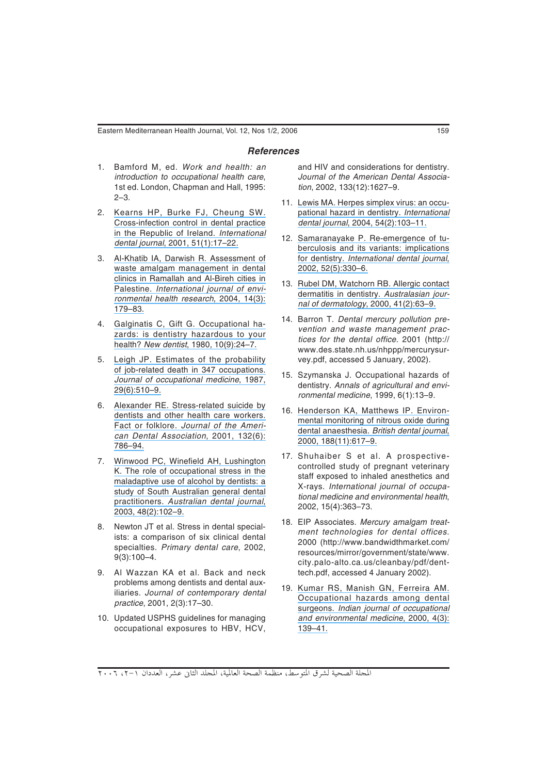#### *References*

- 1. Bamford M, ed. Work and health: an introduction to occupational health care, 1st ed. London, Chapman and Hall, 1995: 2–3.
- 2. [Kearns HP, Burke FJ, Cheung SW.](https://www.researchgate.net/publication/12010685_Cross-infection_control_in_dental_practice_in_the_Republic_of_Ireland?el=1_x_8&enrichId=rgreq-49cd369af180218b3dfa5451f50aeebf-XXX&enrichSource=Y292ZXJQYWdlOzY3NTg2MzU7QVM6MTAzNDU4MDc4MTk5ODI3QDE0MDE2Nzc3MzcwMzU=) [Cross-infection control in dental practice](https://www.researchgate.net/publication/12010685_Cross-infection_control_in_dental_practice_in_the_Republic_of_Ireland?el=1_x_8&enrichId=rgreq-49cd369af180218b3dfa5451f50aeebf-XXX&enrichSource=Y292ZXJQYWdlOzY3NTg2MzU7QVM6MTAzNDU4MDc4MTk5ODI3QDE0MDE2Nzc3MzcwMzU=)  [in the Republic of Ireland.](https://www.researchgate.net/publication/12010685_Cross-infection_control_in_dental_practice_in_the_Republic_of_Ireland?el=1_x_8&enrichId=rgreq-49cd369af180218b3dfa5451f50aeebf-XXX&enrichSource=Y292ZXJQYWdlOzY3NTg2MzU7QVM6MTAzNDU4MDc4MTk5ODI3QDE0MDE2Nzc3MzcwMzU=) International dental journal[, 2001, 51\(1\):17–22.](https://www.researchgate.net/publication/12010685_Cross-infection_control_in_dental_practice_in_the_Republic_of_Ireland?el=1_x_8&enrichId=rgreq-49cd369af180218b3dfa5451f50aeebf-XXX&enrichSource=Y292ZXJQYWdlOzY3NTg2MzU7QVM6MTAzNDU4MDc4MTk5ODI3QDE0MDE2Nzc3MzcwMzU=)
- 3. [Al-Khatib IA, Darwish R. Assessment of](https://www.researchgate.net/publication/8505194_Assessment_of_waste_amalgam_management_in_dental_clinics_in_Ramallah_and_al-Bireh_cities_in_Palestine?el=1_x_8&enrichId=rgreq-49cd369af180218b3dfa5451f50aeebf-XXX&enrichSource=Y292ZXJQYWdlOzY3NTg2MzU7QVM6MTAzNDU4MDc4MTk5ODI3QDE0MDE2Nzc3MzcwMzU=)  [waste amalgam management in dental](https://www.researchgate.net/publication/8505194_Assessment_of_waste_amalgam_management_in_dental_clinics_in_Ramallah_and_al-Bireh_cities_in_Palestine?el=1_x_8&enrichId=rgreq-49cd369af180218b3dfa5451f50aeebf-XXX&enrichSource=Y292ZXJQYWdlOzY3NTg2MzU7QVM6MTAzNDU4MDc4MTk5ODI3QDE0MDE2Nzc3MzcwMzU=)  [clinics in Ramallah and Al-Bireh cities in](https://www.researchgate.net/publication/8505194_Assessment_of_waste_amalgam_management_in_dental_clinics_in_Ramallah_and_al-Bireh_cities_in_Palestine?el=1_x_8&enrichId=rgreq-49cd369af180218b3dfa5451f50aeebf-XXX&enrichSource=Y292ZXJQYWdlOzY3NTg2MzU7QVM6MTAzNDU4MDc4MTk5ODI3QDE0MDE2Nzc3MzcwMzU=)  Palestine. [International journal of envi](https://www.researchgate.net/publication/8505194_Assessment_of_waste_amalgam_management_in_dental_clinics_in_Ramallah_and_al-Bireh_cities_in_Palestine?el=1_x_8&enrichId=rgreq-49cd369af180218b3dfa5451f50aeebf-XXX&enrichSource=Y292ZXJQYWdlOzY3NTg2MzU7QVM6MTAzNDU4MDc4MTk5ODI3QDE0MDE2Nzc3MzcwMzU=)[ronmental health research](https://www.researchgate.net/publication/8505194_Assessment_of_waste_amalgam_management_in_dental_clinics_in_Ramallah_and_al-Bireh_cities_in_Palestine?el=1_x_8&enrichId=rgreq-49cd369af180218b3dfa5451f50aeebf-XXX&enrichSource=Y292ZXJQYWdlOzY3NTg2MzU7QVM6MTAzNDU4MDc4MTk5ODI3QDE0MDE2Nzc3MzcwMzU=), 2004, 14(3): [179–83.](https://www.researchgate.net/publication/8505194_Assessment_of_waste_amalgam_management_in_dental_clinics_in_Ramallah_and_al-Bireh_cities_in_Palestine?el=1_x_8&enrichId=rgreq-49cd369af180218b3dfa5451f50aeebf-XXX&enrichSource=Y292ZXJQYWdlOzY3NTg2MzU7QVM6MTAzNDU4MDc4MTk5ODI3QDE0MDE2Nzc3MzcwMzU=)
- 4. [Galginatis C, Gift G. Occupational ha](https://www.researchgate.net/publication/16194556_Occupational_hazards_Is_dentistry_hazardous_to_your_health?el=1_x_8&enrichId=rgreq-49cd369af180218b3dfa5451f50aeebf-XXX&enrichSource=Y292ZXJQYWdlOzY3NTg2MzU7QVM6MTAzNDU4MDc4MTk5ODI3QDE0MDE2Nzc3MzcwMzU=)[zards: is dentistry hazardous to your](https://www.researchgate.net/publication/16194556_Occupational_hazards_Is_dentistry_hazardous_to_your_health?el=1_x_8&enrichId=rgreq-49cd369af180218b3dfa5451f50aeebf-XXX&enrichSource=Y292ZXJQYWdlOzY3NTg2MzU7QVM6MTAzNDU4MDc4MTk5ODI3QDE0MDE2Nzc3MzcwMzU=)  health? New dentist[, 1980, 10\(9\):24–7.](https://www.researchgate.net/publication/16194556_Occupational_hazards_Is_dentistry_hazardous_to_your_health?el=1_x_8&enrichId=rgreq-49cd369af180218b3dfa5451f50aeebf-XXX&enrichSource=Y292ZXJQYWdlOzY3NTg2MzU7QVM6MTAzNDU4MDc4MTk5ODI3QDE0MDE2Nzc3MzcwMzU=)
- 5. [Leigh JP. Estimates of the probability](https://www.researchgate.net/publication/19550256_Estimates_of_the_probability_of_job-related_death_in_347_occupations?el=1_x_8&enrichId=rgreq-49cd369af180218b3dfa5451f50aeebf-XXX&enrichSource=Y292ZXJQYWdlOzY3NTg2MzU7QVM6MTAzNDU4MDc4MTk5ODI3QDE0MDE2Nzc3MzcwMzU=)  [of job-related death in 347 occupations.](https://www.researchgate.net/publication/19550256_Estimates_of_the_probability_of_job-related_death_in_347_occupations?el=1_x_8&enrichId=rgreq-49cd369af180218b3dfa5451f50aeebf-XXX&enrichSource=Y292ZXJQYWdlOzY3NTg2MzU7QVM6MTAzNDU4MDc4MTk5ODI3QDE0MDE2Nzc3MzcwMzU=)  [Journal of occupational medicine](https://www.researchgate.net/publication/19550256_Estimates_of_the_probability_of_job-related_death_in_347_occupations?el=1_x_8&enrichId=rgreq-49cd369af180218b3dfa5451f50aeebf-XXX&enrichSource=Y292ZXJQYWdlOzY3NTg2MzU7QVM6MTAzNDU4MDc4MTk5ODI3QDE0MDE2Nzc3MzcwMzU=), 1987, [29\(6\):510–9.](https://www.researchgate.net/publication/19550256_Estimates_of_the_probability_of_job-related_death_in_347_occupations?el=1_x_8&enrichId=rgreq-49cd369af180218b3dfa5451f50aeebf-XXX&enrichSource=Y292ZXJQYWdlOzY3NTg2MzU7QVM6MTAzNDU4MDc4MTk5ODI3QDE0MDE2Nzc3MzcwMzU=)
- 6. [Alexander RE. Stress-related suicide by](https://www.researchgate.net/publication/298293712_Stress-related_suicide_by_dentists_and_other_health_care_workers_-_Fact_or_folklore?el=1_x_8&enrichId=rgreq-49cd369af180218b3dfa5451f50aeebf-XXX&enrichSource=Y292ZXJQYWdlOzY3NTg2MzU7QVM6MTAzNDU4MDc4MTk5ODI3QDE0MDE2Nzc3MzcwMzU=)  [dentists and other health care workers.](https://www.researchgate.net/publication/298293712_Stress-related_suicide_by_dentists_and_other_health_care_workers_-_Fact_or_folklore?el=1_x_8&enrichId=rgreq-49cd369af180218b3dfa5451f50aeebf-XXX&enrichSource=Y292ZXJQYWdlOzY3NTg2MzU7QVM6MTAzNDU4MDc4MTk5ODI3QDE0MDE2Nzc3MzcwMzU=)  Fact or folklore. [Journal of the Ameri](https://www.researchgate.net/publication/298293712_Stress-related_suicide_by_dentists_and_other_health_care_workers_-_Fact_or_folklore?el=1_x_8&enrichId=rgreq-49cd369af180218b3dfa5451f50aeebf-XXX&enrichSource=Y292ZXJQYWdlOzY3NTg2MzU7QVM6MTAzNDU4MDc4MTk5ODI3QDE0MDE2Nzc3MzcwMzU=)[can Dental Association](https://www.researchgate.net/publication/298293712_Stress-related_suicide_by_dentists_and_other_health_care_workers_-_Fact_or_folklore?el=1_x_8&enrichId=rgreq-49cd369af180218b3dfa5451f50aeebf-XXX&enrichSource=Y292ZXJQYWdlOzY3NTg2MzU7QVM6MTAzNDU4MDc4MTk5ODI3QDE0MDE2Nzc3MzcwMzU=), 2001, 132(6): [786–94.](https://www.researchgate.net/publication/298293712_Stress-related_suicide_by_dentists_and_other_health_care_workers_-_Fact_or_folklore?el=1_x_8&enrichId=rgreq-49cd369af180218b3dfa5451f50aeebf-XXX&enrichSource=Y292ZXJQYWdlOzY3NTg2MzU7QVM6MTAzNDU4MDc4MTk5ODI3QDE0MDE2Nzc3MzcwMzU=)
- 7. [Winwood PC, Winefield AH, Lushington](https://www.researchgate.net/publication/8982565_The_role_of_occupational_stress_in_the_maladaptive_use_of_alcohol_by_dentists_A_study_of_South_Australian_general_dental_practitioners?el=1_x_8&enrichId=rgreq-49cd369af180218b3dfa5451f50aeebf-XXX&enrichSource=Y292ZXJQYWdlOzY3NTg2MzU7QVM6MTAzNDU4MDc4MTk5ODI3QDE0MDE2Nzc3MzcwMzU=)  [K. The role of occupational stress in the](https://www.researchgate.net/publication/8982565_The_role_of_occupational_stress_in_the_maladaptive_use_of_alcohol_by_dentists_A_study_of_South_Australian_general_dental_practitioners?el=1_x_8&enrichId=rgreq-49cd369af180218b3dfa5451f50aeebf-XXX&enrichSource=Y292ZXJQYWdlOzY3NTg2MzU7QVM6MTAzNDU4MDc4MTk5ODI3QDE0MDE2Nzc3MzcwMzU=)  [maladaptive use of alcohol by dentists: a](https://www.researchgate.net/publication/8982565_The_role_of_occupational_stress_in_the_maladaptive_use_of_alcohol_by_dentists_A_study_of_South_Australian_general_dental_practitioners?el=1_x_8&enrichId=rgreq-49cd369af180218b3dfa5451f50aeebf-XXX&enrichSource=Y292ZXJQYWdlOzY3NTg2MzU7QVM6MTAzNDU4MDc4MTk5ODI3QDE0MDE2Nzc3MzcwMzU=)  [study of South Australian general dental](https://www.researchgate.net/publication/8982565_The_role_of_occupational_stress_in_the_maladaptive_use_of_alcohol_by_dentists_A_study_of_South_Australian_general_dental_practitioners?el=1_x_8&enrichId=rgreq-49cd369af180218b3dfa5451f50aeebf-XXX&enrichSource=Y292ZXJQYWdlOzY3NTg2MzU7QVM6MTAzNDU4MDc4MTk5ODI3QDE0MDE2Nzc3MzcwMzU=)  practitioners. [Australian dental journal](https://www.researchgate.net/publication/8982565_The_role_of_occupational_stress_in_the_maladaptive_use_of_alcohol_by_dentists_A_study_of_South_Australian_general_dental_practitioners?el=1_x_8&enrichId=rgreq-49cd369af180218b3dfa5451f50aeebf-XXX&enrichSource=Y292ZXJQYWdlOzY3NTg2MzU7QVM6MTAzNDU4MDc4MTk5ODI3QDE0MDE2Nzc3MzcwMzU=), [2003, 48\(2\):102–9.](https://www.researchgate.net/publication/8982565_The_role_of_occupational_stress_in_the_maladaptive_use_of_alcohol_by_dentists_A_study_of_South_Australian_general_dental_practitioners?el=1_x_8&enrichId=rgreq-49cd369af180218b3dfa5451f50aeebf-XXX&enrichSource=Y292ZXJQYWdlOzY3NTg2MzU7QVM6MTAzNDU4MDc4MTk5ODI3QDE0MDE2Nzc3MzcwMzU=)
- 8. Newton JT et al. Stress in dental specialists: a comparison of six clinical dental specialties. Primary dental care, 2002, 9(3):100–4.
- 9. Al Wazzan KA et al. Back and neck problems among dentists and dental auxiliaries. Journal of contemporary dental practice, 2001, 2(3):17–30.
- 10. Updated USPHS guidelines for managing occupational exposures to HBV, HCV,

and HIV and considerations for dentistry. Journal of the American Dental Association, 2002, 133(12):1627–9.

- 11. [Lewis MA. Herpes simplex virus: an occu](https://www.researchgate.net/publication/8585212_Herpes_simplex_virus_An_occupational_hazard_in_dentistry?el=1_x_8&enrichId=rgreq-49cd369af180218b3dfa5451f50aeebf-XXX&enrichSource=Y292ZXJQYWdlOzY3NTg2MzU7QVM6MTAzNDU4MDc4MTk5ODI3QDE0MDE2Nzc3MzcwMzU=)[pational hazard in dentistry.](https://www.researchgate.net/publication/8585212_Herpes_simplex_virus_An_occupational_hazard_in_dentistry?el=1_x_8&enrichId=rgreq-49cd369af180218b3dfa5451f50aeebf-XXX&enrichSource=Y292ZXJQYWdlOzY3NTg2MzU7QVM6MTAzNDU4MDc4MTk5ODI3QDE0MDE2Nzc3MzcwMzU=) International dental journal[, 2004, 54\(2\):103–11.](https://www.researchgate.net/publication/8585212_Herpes_simplex_virus_An_occupational_hazard_in_dentistry?el=1_x_8&enrichId=rgreq-49cd369af180218b3dfa5451f50aeebf-XXX&enrichSource=Y292ZXJQYWdlOzY3NTg2MzU7QVM6MTAzNDU4MDc4MTk5ODI3QDE0MDE2Nzc3MzcwMzU=)
- 12. [Samaranayake P. Re-emergence of tu](https://www.researchgate.net/publication/11046615_Re-emergence_of_tuberculosis_and_its_variants_Implications_for_dentistry?el=1_x_8&enrichId=rgreq-49cd369af180218b3dfa5451f50aeebf-XXX&enrichSource=Y292ZXJQYWdlOzY3NTg2MzU7QVM6MTAzNDU4MDc4MTk5ODI3QDE0MDE2Nzc3MzcwMzU=)[berculosis and its variants: implications](https://www.researchgate.net/publication/11046615_Re-emergence_of_tuberculosis_and_its_variants_Implications_for_dentistry?el=1_x_8&enrichId=rgreq-49cd369af180218b3dfa5451f50aeebf-XXX&enrichSource=Y292ZXJQYWdlOzY3NTg2MzU7QVM6MTAzNDU4MDc4MTk5ODI3QDE0MDE2Nzc3MzcwMzU=)  for dentistry. [International dental journal](https://www.researchgate.net/publication/11046615_Re-emergence_of_tuberculosis_and_its_variants_Implications_for_dentistry?el=1_x_8&enrichId=rgreq-49cd369af180218b3dfa5451f50aeebf-XXX&enrichSource=Y292ZXJQYWdlOzY3NTg2MzU7QVM6MTAzNDU4MDc4MTk5ODI3QDE0MDE2Nzc3MzcwMzU=), [2002, 52\(5\):330–6.](https://www.researchgate.net/publication/11046615_Re-emergence_of_tuberculosis_and_its_variants_Implications_for_dentistry?el=1_x_8&enrichId=rgreq-49cd369af180218b3dfa5451f50aeebf-XXX&enrichSource=Y292ZXJQYWdlOzY3NTg2MzU7QVM6MTAzNDU4MDc4MTk5ODI3QDE0MDE2Nzc3MzcwMzU=)
- 13. [Rubel DM, Watchorn RB. Allergic contact](https://www.researchgate.net/publication/12504587_Allergic_contact_dermatitis_in_dentistry?el=1_x_8&enrichId=rgreq-49cd369af180218b3dfa5451f50aeebf-XXX&enrichSource=Y292ZXJQYWdlOzY3NTg2MzU7QVM6MTAzNDU4MDc4MTk5ODI3QDE0MDE2Nzc3MzcwMzU=)  [dermatitis in dentistry.](https://www.researchgate.net/publication/12504587_Allergic_contact_dermatitis_in_dentistry?el=1_x_8&enrichId=rgreq-49cd369af180218b3dfa5451f50aeebf-XXX&enrichSource=Y292ZXJQYWdlOzY3NTg2MzU7QVM6MTAzNDU4MDc4MTk5ODI3QDE0MDE2Nzc3MzcwMzU=) Australasian journal of dermatology[, 2000, 41\(2\):63–9.](https://www.researchgate.net/publication/12504587_Allergic_contact_dermatitis_in_dentistry?el=1_x_8&enrichId=rgreq-49cd369af180218b3dfa5451f50aeebf-XXX&enrichSource=Y292ZXJQYWdlOzY3NTg2MzU7QVM6MTAzNDU4MDc4MTk5ODI3QDE0MDE2Nzc3MzcwMzU=)
- 14. Barron T. Dental mercury pollution prevention and waste management practices for the dental office. 2001 (http:// www.des.state.nh.us/nhppp/mercurysurvey.pdf, accessed 5 January, 2002).
- 15. Szymanska J. Occupational hazards of dentistry. Annals of agricultural and environmental medicine, 1999, 6(1):13–9.
- 16. [Henderson KA, Matthews IP. Environ](https://www.researchgate.net/publication/12425036_Environmental_monitoring_of_nitrous_oxide_during_dental_anaesthesia?el=1_x_8&enrichId=rgreq-49cd369af180218b3dfa5451f50aeebf-XXX&enrichSource=Y292ZXJQYWdlOzY3NTg2MzU7QVM6MTAzNDU4MDc4MTk5ODI3QDE0MDE2Nzc3MzcwMzU=)[mental monitoring of nitrous oxide during](https://www.researchgate.net/publication/12425036_Environmental_monitoring_of_nitrous_oxide_during_dental_anaesthesia?el=1_x_8&enrichId=rgreq-49cd369af180218b3dfa5451f50aeebf-XXX&enrichSource=Y292ZXJQYWdlOzY3NTg2MzU7QVM6MTAzNDU4MDc4MTk5ODI3QDE0MDE2Nzc3MzcwMzU=)  dental anaesthesia. [British dental journal](https://www.researchgate.net/publication/12425036_Environmental_monitoring_of_nitrous_oxide_during_dental_anaesthesia?el=1_x_8&enrichId=rgreq-49cd369af180218b3dfa5451f50aeebf-XXX&enrichSource=Y292ZXJQYWdlOzY3NTg2MzU7QVM6MTAzNDU4MDc4MTk5ODI3QDE0MDE2Nzc3MzcwMzU=), [2000, 188\(11\):617–9.](https://www.researchgate.net/publication/12425036_Environmental_monitoring_of_nitrous_oxide_during_dental_anaesthesia?el=1_x_8&enrichId=rgreq-49cd369af180218b3dfa5451f50aeebf-XXX&enrichSource=Y292ZXJQYWdlOzY3NTg2MzU7QVM6MTAzNDU4MDc4MTk5ODI3QDE0MDE2Nzc3MzcwMzU=)
- 17. Shuhaiber S et al. A prospectivecontrolled study of pregnant veterinary staff exposed to inhaled anesthetics and X-rays. International journal of occupational medicine and environmental health, 2002, 15(4):363–73.
- 18. EIP Associates. Mercury amalgam treatment technologies for dental offices. 2000 (http://www.bandwidthmarket.com/ resources/mirror/government/state/www. city.palo-alto.ca.us/cleanbay/pdf/denttech.pdf, accessed 4 January 2002).
- 19. [Kumar RS, Manish GN, Ferreira AM.](https://www.researchgate.net/publication/292913337_Occupational_hazards_among_dental_surgeons?el=1_x_8&enrichId=rgreq-49cd369af180218b3dfa5451f50aeebf-XXX&enrichSource=Y292ZXJQYWdlOzY3NTg2MzU7QVM6MTAzNDU4MDc4MTk5ODI3QDE0MDE2Nzc3MzcwMzU=)  [Occupational hazards among dental](https://www.researchgate.net/publication/292913337_Occupational_hazards_among_dental_surgeons?el=1_x_8&enrichId=rgreq-49cd369af180218b3dfa5451f50aeebf-XXX&enrichSource=Y292ZXJQYWdlOzY3NTg2MzU7QVM6MTAzNDU4MDc4MTk5ODI3QDE0MDE2Nzc3MzcwMzU=)  surgeons. [Indian journal of occupational](https://www.researchgate.net/publication/292913337_Occupational_hazards_among_dental_surgeons?el=1_x_8&enrichId=rgreq-49cd369af180218b3dfa5451f50aeebf-XXX&enrichSource=Y292ZXJQYWdlOzY3NTg2MzU7QVM6MTAzNDU4MDc4MTk5ODI3QDE0MDE2Nzc3MzcwMzU=)  [and environmental medicine](https://www.researchgate.net/publication/292913337_Occupational_hazards_among_dental_surgeons?el=1_x_8&enrichId=rgreq-49cd369af180218b3dfa5451f50aeebf-XXX&enrichSource=Y292ZXJQYWdlOzY3NTg2MzU7QVM6MTAzNDU4MDc4MTk5ODI3QDE0MDE2Nzc3MzcwMzU=), 2000, 4(3): [139–41.](https://www.researchgate.net/publication/292913337_Occupational_hazards_among_dental_surgeons?el=1_x_8&enrichId=rgreq-49cd369af180218b3dfa5451f50aeebf-XXX&enrichSource=Y292ZXJQYWdlOzY3NTg2MzU7QVM6MTAzNDU4MDc4MTk5ODI3QDE0MDE2Nzc3MzcwMzU=)

المجلة الصحية لشرق المتوسط، منظمة الصحة العالمية، المجلد الثاني عشر، العددان ١-٢، ٢٠٠٦